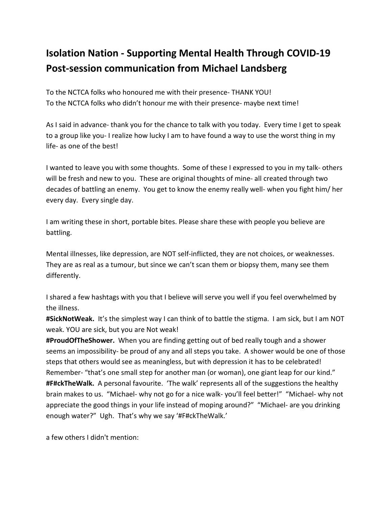## **Isolation Nation - Supporting Mental Health Through COVID-19 Post-session communication from Michael Landsberg**

To the NCTCA folks who honoured me with their presence- THANK YOU! To the NCTCA folks who didn't honour me with their presence- maybe next time!

As I said in advance- thank you for the chance to talk with you today. Every time I get to speak to a group like you- I realize how lucky I am to have found a way to use the worst thing in my life- as one of the best!

I wanted to leave you with some thoughts. Some of these I expressed to you in my talk- others will be fresh and new to you. These are original thoughts of mine- all created through two decades of battling an enemy. You get to know the enemy really well- when you fight him/ her every day. Every single day.

I am writing these in short, portable bites. Please share these with people you believe are battling.

Mental illnesses, like depression, are NOT self-inflicted, they are not choices, or weaknesses. They are as real as a tumour, but since we can't scan them or biopsy them, many see them differently.

I shared a few hashtags with you that I believe will serve you well if you feel overwhelmed by the illness.

**#SickNotWeak.** It's the simplest way I can think of to battle the stigma. I am sick, but I am NOT weak. YOU are sick, but you are Not weak!

**#ProudOfTheShower.** When you are finding getting out of bed really tough and a shower seems an impossibility- be proud of any and all steps you take. A shower would be one of those steps that others would see as meaningless, but with depression it has to be celebrated! Remember- "that's one small step for another man (or woman), one giant leap for our kind." **#F#ckTheWalk.** A personal favourite. 'The walk' represents all of the suggestions the healthy brain makes to us. "Michael- why not go for a nice walk- you'll feel better!" "Michael- why not appreciate the good things in your life instead of moping around?" "Michael- are you drinking enough water?" Ugh. That's why we say '#F#ckTheWalk.'

a few others I didn't mention: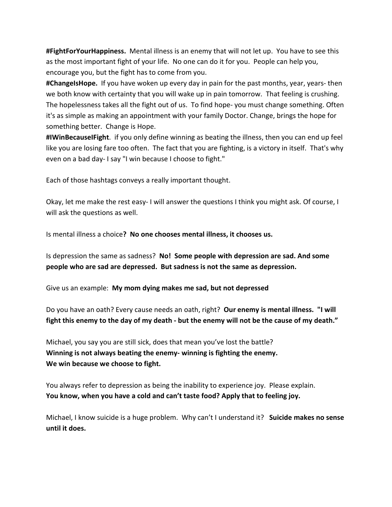**#FightForYourHappiness.** Mental illness is an enemy that will not let up.You have to see this as the most important fight of your life. No one can do it for you. People can help you, encourage you, but the fight has to come from you.

**#ChangeIsHope.** If you have woken up every day in pain forthe past months, year, years- then we both know with certainty that you will wake up in pain tomorrow. That feeling is crushing. The hopelessness takes all the fight out of us. To find hope- you must change something. Often it's as simple as making an appointment with your family Doctor. Change, brings the hope for something better. Change is Hope.

**#IWinBecauseIFight**. if you only define winning as beating the illness, then you can end up feel like you are losing fare too often. The fact that you are fighting, is a victory in itself. That's why even on a bad day- I say "I win because I choose to fight."

Each of those hashtags conveys a really important thought.

Okay, let me make the rest easy- I will answer the questions Ithink you might ask. Of course, I will ask the questions as well.

Is mentalillness a choice**? No one chooses mental illness, it chooses us.**

Is depression the same as sadness? **No! Some people with depression are sad. And some people who are sad are depressed. But sadness is not the same as depression.**

Give us an example: **My mom dying makes me sad, but not depressed**

Do you have an oath? Every cause needs an oath, right? **Our enemy is mental illness. "I will** fight this enemy to the day of my death - but the enemy will not be the cause of my death."

Michael, you say you are still sick, does that mean you've lost the battle? **Winning is not always beating the enemy- winning is fighting the enemy. We win because we choose to fight.**

You always refer to depression as being the inability to experience joy. Please explain. **You know, when you have a cold and can't taste food? Apply that to feeling joy.**

Michael, I know suicide is a huge problem. Why can'tI understand it? **Suicide makes no sense until it does.**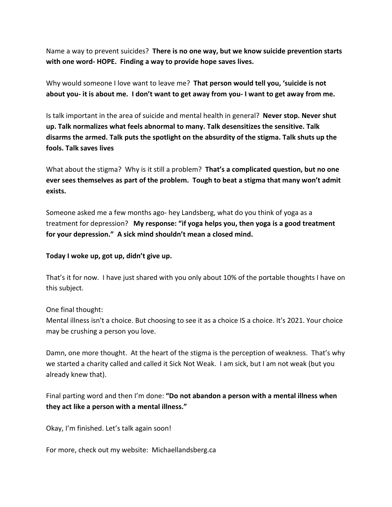Name a way to prevent suicides? **There is no one way, but we know suicide prevention starts with one word- HOPE. Finding a way to provide hope saves lives.**

Why would someone I love want to leave me? **That person would tell you, 'suicide is not** about you- it is about me. I don't want to get away from you- I want to get away from me.

Is talk important in the area of suicide and mental health in general? **Never stop. Never shut up. Talk normalizes what feels abnormal to many. Talk desensitizes the sensitive. Talk disarms the armed. Talk puts the spotlight on the absurdity of the stigma. Talk shuts up the fools. Talk saves lives**

What about the stigma? Why is it still a problem? **That's a complicated question, but no one ever sees themselves as part of the problem. Tough to beat a stigma that many won't admit exists.**

Someone asked me a few months ago- hey Landsberg, what do you think of yoga as a treatment for depression? **My response: "if yoga helps you,then yoga is a good treatment for your depression." A sick mind shouldn't mean a closed mind.**

**Today I woke up, got up,didn't give up.**

That's it for now. I have just shared with you only about 10% of the portable thoughts I have on this subject.

One final thought:

Mental illness isn't a choice. But choosing to see it as a choice IS a choice. It's 2021. Your choice may be crushing a person you love.

Damn, one more thought. At the heart of the stigma is the perception of weakness. That's why we started a charity called and called it Sick Not Weak. I am sick, but I am not weak (but you already knew that).

Final parting word and then I'm done: **"Do not abandon a person with a mental illness when they act like a person with a mental illness."**

Okay, I'm finished. Let's talk again soon!

For more, check out my website: Michaellandsberg.ca